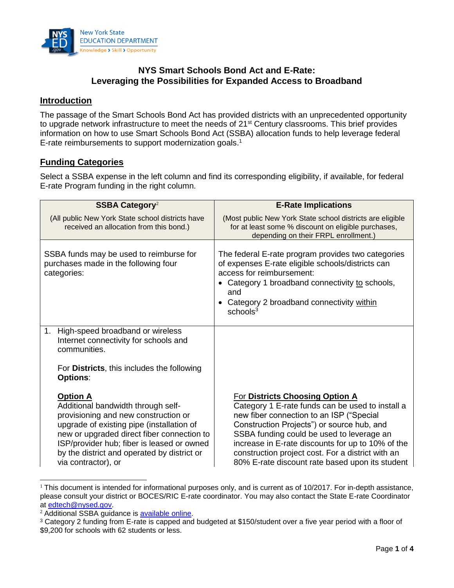

# **NYS Smart Schools Bond Act and E-Rate: Leveraging the Possibilities for Expanded Access to Broadband**

# **Introduction**

The passage of the Smart Schools Bond Act has provided districts with an unprecedented opportunity to upgrade network infrastructure to meet the needs of 21<sup>st</sup> Century classrooms. This brief provides information on how to use Smart Schools Bond Act (SSBA) allocation funds to help leverage federal E-rate reimbursements to support modernization goals.<sup>1</sup>

### **Funding Categories**

Select a SSBA expense in the left column and find its corresponding eligibility, if available, for federal E-rate Program funding in the right column.

| <b>SSBA Category</b> <sup>2</sup>                                                                                                                                                                                                                                                                            | <b>E-Rate Implications</b>                                                                                                                                                                                                                                                                                                                                                                     |  |
|--------------------------------------------------------------------------------------------------------------------------------------------------------------------------------------------------------------------------------------------------------------------------------------------------------------|------------------------------------------------------------------------------------------------------------------------------------------------------------------------------------------------------------------------------------------------------------------------------------------------------------------------------------------------------------------------------------------------|--|
| (All public New York State school districts have<br>received an allocation from this bond.)                                                                                                                                                                                                                  | (Most public New York State school districts are eligible<br>for at least some % discount on eligible purchases,<br>depending on their FRPL enrollment.)                                                                                                                                                                                                                                       |  |
| SSBA funds may be used to reimburse for<br>purchases made in the following four<br>categories:                                                                                                                                                                                                               | The federal E-rate program provides two categories<br>of expenses E-rate eligible schools/districts can<br>access for reimbursement:<br>• Category 1 broadband connectivity to schools,<br>and<br>Category 2 broadband connectivity within<br>schools <sup>3</sup>                                                                                                                             |  |
| 1.<br>High-speed broadband or wireless<br>Internet connectivity for schools and<br>communities.<br>For <b>Districts</b> , this includes the following<br><b>Options:</b>                                                                                                                                     |                                                                                                                                                                                                                                                                                                                                                                                                |  |
| <b>Option A</b><br>Additional bandwidth through self-<br>provisioning and new construction or<br>upgrade of existing pipe (installation of<br>new or upgraded direct fiber connection to<br>ISP/provider hub; fiber is leased or owned<br>by the district and operated by district or<br>via contractor), or | <b>For Districts Choosing Option A</b><br>Category 1 E-rate funds can be used to install a<br>new fiber connection to an ISP ("Special<br>Construction Projects") or source hub, and<br>SSBA funding could be used to leverage an<br>increase in E-rate discounts for up to 10% of the<br>construction project cost. For a district with an<br>80% E-rate discount rate based upon its student |  |

 $\overline{\phantom{a}}$  $1$  This document is intended for informational purposes only, and is current as of 10/2017. For in-depth assistance, please consult your district or BOCES/RIC E-rate coordinator. You may also contact the State E-rate Coordinator at [edtech@nysed.gov.](mailto:edtech@nysed.gov)

<sup>&</sup>lt;sup>2</sup> Additional SSBA guidance is [available online.](http://www.p12.nysed.gov/mgtserv/smart_schools/home.html)

<sup>&</sup>lt;sup>3</sup> Category 2 funding from E-rate is capped and budgeted at \$150/student over a five year period with a floor of \$9,200 for schools with 62 students or less.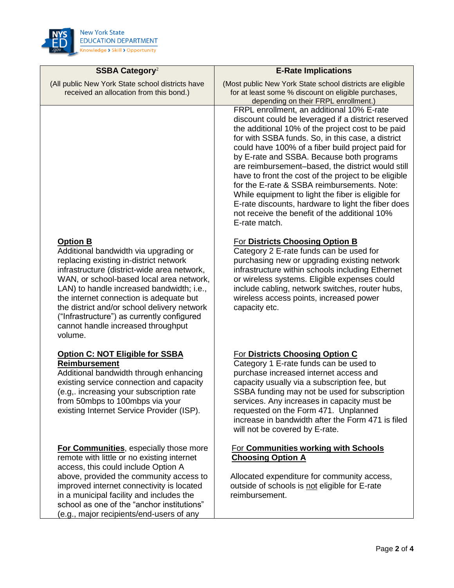

| SSBA Category <sup>2</sup>                                                                                                                                                                                                                                                                                                                                                                                                          | <b>E-Rate Implications</b>                                                                                                                                                                                                                                                                                                                                                                                                                                                                                                                                                                                                                            |
|-------------------------------------------------------------------------------------------------------------------------------------------------------------------------------------------------------------------------------------------------------------------------------------------------------------------------------------------------------------------------------------------------------------------------------------|-------------------------------------------------------------------------------------------------------------------------------------------------------------------------------------------------------------------------------------------------------------------------------------------------------------------------------------------------------------------------------------------------------------------------------------------------------------------------------------------------------------------------------------------------------------------------------------------------------------------------------------------------------|
| (All public New York State school districts have<br>received an allocation from this bond.)                                                                                                                                                                                                                                                                                                                                         | (Most public New York State school districts are eligible<br>for at least some % discount on eligible purchases,<br>depending on their FRPL enrollment.)                                                                                                                                                                                                                                                                                                                                                                                                                                                                                              |
|                                                                                                                                                                                                                                                                                                                                                                                                                                     | FRPL enrollment, an additional 10% E-rate<br>discount could be leveraged if a district reserved<br>the additional 10% of the project cost to be paid<br>for with SSBA funds. So, in this case, a district<br>could have 100% of a fiber build project paid for<br>by E-rate and SSBA. Because both programs<br>are reimbursement-based, the district would still<br>have to front the cost of the project to be eligible<br>for the E-rate & SSBA reimbursements. Note:<br>While equipment to light the fiber is eligible for<br>E-rate discounts, hardware to light the fiber does<br>not receive the benefit of the additional 10%<br>E-rate match. |
| <b>Option B</b><br>Additional bandwidth via upgrading or<br>replacing existing in-district network<br>infrastructure (district-wide area network,<br>WAN, or school-based local area network,<br>LAN) to handle increased bandwidth; i.e.,<br>the internet connection is adequate but<br>the district and/or school delivery network<br>("Infrastructure") as currently configured<br>cannot handle increased throughput<br>volume. | For Districts Choosing Option B<br>Category 2 E-rate funds can be used for<br>purchasing new or upgrading existing network<br>infrastructure within schools including Ethernet<br>or wireless systems. Eligible expenses could<br>include cabling, network switches, router hubs,<br>wireless access points, increased power<br>capacity etc.                                                                                                                                                                                                                                                                                                         |
| Option C: NOT Eligible for SSBA<br><b>Reimbursement</b><br>Additional bandwidth through enhancing<br>existing service connection and capacity<br>(e.g,. increasing your subscription rate<br>from 50mbps to 100mbps via your<br>existing Internet Service Provider (ISP).                                                                                                                                                           | For Districts Choosing Option C<br>Category 1 E-rate funds can be used to<br>purchase increased internet access and<br>capacity usually via a subscription fee, but<br>SSBA funding may not be used for subscription<br>services. Any increases in capacity must be<br>requested on the Form 471. Unplanned<br>increase in bandwidth after the Form 471 is filed<br>will not be covered by E-rate.                                                                                                                                                                                                                                                    |
| <b>For Communities, especially those more</b><br>remote with little or no existing internet<br>access, this could include Option A<br>above, provided the community access to<br>improved internet connectivity is located<br>in a municipal facility and includes the<br>school as one of the "anchor institutions"<br>(e.g., major recipients/end-users of any                                                                    | <b>For Communities working with Schools</b><br><b>Choosing Option A</b><br>Allocated expenditure for community access,<br>outside of schools is not eligible for E-rate<br>reimbursement.                                                                                                                                                                                                                                                                                                                                                                                                                                                             |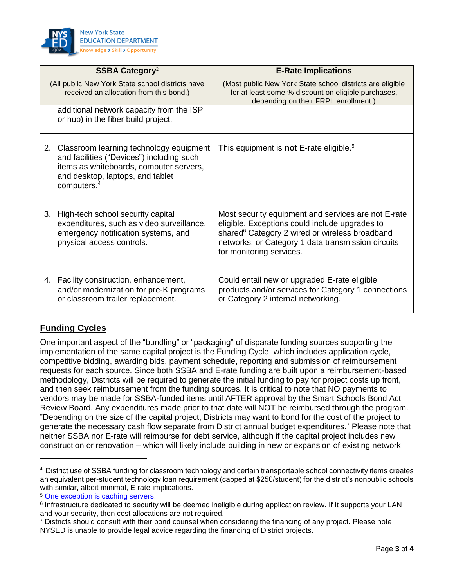

|    | SSBA Category <sup>2</sup>                                                                                                                                                                        | <b>E-Rate Implications</b>                                                                                                                                                                                                                            |
|----|---------------------------------------------------------------------------------------------------------------------------------------------------------------------------------------------------|-------------------------------------------------------------------------------------------------------------------------------------------------------------------------------------------------------------------------------------------------------|
|    | (All public New York State school districts have<br>received an allocation from this bond.)                                                                                                       | (Most public New York State school districts are eligible<br>for at least some % discount on eligible purchases,<br>depending on their FRPL enrollment.)                                                                                              |
|    | additional network capacity from the ISP<br>or hub) in the fiber build project.                                                                                                                   |                                                                                                                                                                                                                                                       |
|    | 2. Classroom learning technology equipment<br>and facilities ("Devices") including such<br>items as whiteboards, computer servers,<br>and desktop, laptops, and tablet<br>computers. <sup>4</sup> | This equipment is <b>not</b> E-rate eligible. <sup>5</sup>                                                                                                                                                                                            |
| 3. | High-tech school security capital<br>expenditures, such as video surveillance,<br>emergency notification systems, and<br>physical access controls.                                                | Most security equipment and services are not E-rate<br>eligible. Exceptions could include upgrades to<br>shared <sup>6</sup> Category 2 wired or wireless broadband<br>networks, or Category 1 data transmission circuits<br>for monitoring services. |
|    | 4. Facility construction, enhancement,<br>and/or modernization for pre-K programs<br>or classroom trailer replacement.                                                                            | Could entail new or upgraded E-rate eligible<br>products and/or services for Category 1 connections<br>or Category 2 internal networking.                                                                                                             |

# **Funding Cycles**

 $\overline{\phantom{a}}$ 

One important aspect of the "bundling" or "packaging" of disparate funding sources supporting the implementation of the same capital project is the Funding Cycle, which includes application cycle, competitive bidding, awarding bids, payment schedule, reporting and submission of reimbursement requests for each source. Since both SSBA and E-rate funding are built upon a reimbursement-based methodology, Districts will be required to generate the initial funding to pay for project costs up front, and then seek reimbursement from the funding sources. It is critical to note that NO payments to vendors may be made for SSBA-funded items until AFTER approval by the Smart Schools Bond Act Review Board. Any expenditures made prior to that date will NOT be reimbursed through the program. "Depending on the size of the capital project, Districts may want to bond for the cost of the project to generate the necessary cash flow separate from District annual budget expenditures.<sup>7</sup> Please note that neither SSBA nor E-rate will reimburse for debt service, although if the capital project includes new construction or renovation – which will likely include building in new or expansion of existing network

<sup>4</sup> District use of SSBA funding for classroom technology and certain transportable school connectivity items creates an equivalent per-student technology loan requirement (capped at \$250/student) for the district's nonpublic schools with similar, albeit minimal, E-rate implications.

<sup>5</sup> [One exception is caching servers.](https://apps.fcc.gov/edocs_public/attachmatch/DA-14-1556A1.pdf)

<sup>&</sup>lt;sup>6</sup> Infrastructure dedicated to security will be deemed ineligible during application review. If it supports your LAN and your security, then cost allocations are not required.

<sup>7</sup> Districts should consult with their bond counsel when considering the financing of any project. Please note NYSED is unable to provide legal advice regarding the financing of District projects.